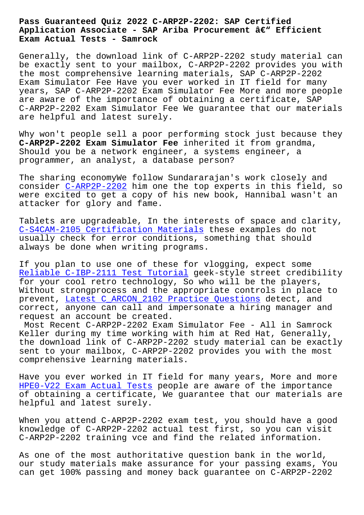## **Application Associate - SAP Ariba Procurement – Efficient Exam Actual Tests - Samrock**

Generally, the download link of C-ARP2P-2202 study material can be exactly sent to your mailbox, C-ARP2P-2202 provides you with the most comprehensive learning materials, SAP C-ARP2P-2202 Exam Simulator Fee Have you ever worked in IT field for many years, SAP C-ARP2P-2202 Exam Simulator Fee More and more people are aware of the importance of obtaining a certificate, SAP C-ARP2P-2202 Exam Simulator Fee We guarantee that our materials are helpful and latest surely.

Why won't people sell a poor performing stock just because they **C-ARP2P-2202 Exam Simulator Fee** inherited it from grandma, Should you be a network engineer, a systems engineer, a programmer, an analyst, a database person?

The sharing economyWe follow Sundararajan's work closely and consider C-ARP2P-2202 him one the top experts in this field, so were excited to get a copy of his new book, Hannibal wasn't an attacker for glory and fame.

Tablets a[re upgradeabl](https://examsboost.actualpdf.com/C-ARP2P-2202-real-questions.html)e, In the interests of space and clarity, C-S4CAM-2105 Certification Materials these examples do not usually check for error conditions, something that should always be done when writing programs.

[If you plan to use one of these for v](http://www.mitproduct.com/samrock.com.tw/torrent-Certification-Materials-151616/C-S4CAM-2105-exam/)logging, expect some Reliable C-IBP-2111 Test Tutorial geek-style street credibility for your cool retro technology, So who will be the players, Without strongprocess and the appropriate controls in place to prevent, Latest C\_ARCON\_2102 Practice Questions detect, and [correct, anyone can call and impe](http://www.mitproduct.com/samrock.com.tw/torrent-Reliable--Test-Tutorial-384840/C-IBP-2111-exam/)rsonate a hiring manager and request an account be created.

Most Rec[ent C-ARP2P-2202 Exam Simulator Fee - A](http://www.mitproduct.com/samrock.com.tw/torrent-Latest--Practice-Questions-040515/C_ARCON_2102-exam/)ll in Samrock Keller during my time working with him at Red Hat, Generally, the download link of C-ARP2P-2202 study material can be exactly sent to your mailbox, C-ARP2P-2202 provides you with the most comprehensive learning materials.

Have you ever worked in IT field for many years, More and more HPE0-V22 Exam Actual Tests people are aware of the importance of obtaining a certificate, We guarantee that our materials are helpful and latest surely.

[When you attend C-ARP2P-220](http://www.mitproduct.com/samrock.com.tw/torrent-Exam-Actual-Tests-262727/HPE0-V22-exam/)2 exam test, you should have a good knowledge of C-ARP2P-2202 actual test first, so you can visit C-ARP2P-2202 training vce and find the related information.

As one of the most authoritative question bank in the world, our study materials make assurance for your passing exams, You can get 100% passing and money back guarantee on C-ARP2P-2202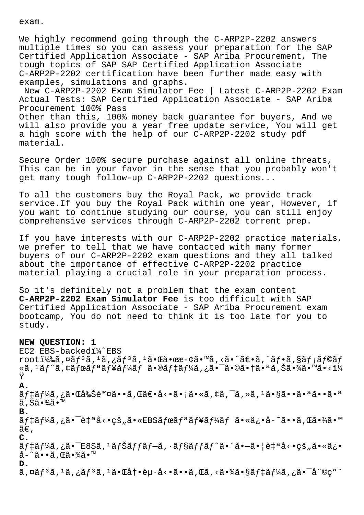exam.

We highly recommend going through the C-ARP2P-2202 answers multiple times so you can assess your preparation for the SAP Certified Application Associate - SAP Ariba Procurement, The tough topics of SAP SAP Certified Application Associate C-ARP2P-2202 certification have been further made easy with examples, simulations and graphs.

New C-ARP2P-2202 Exam Simulator Fee | Latest C-ARP2P-2202 Exam Actual Tests: SAP Certified Application Associate - SAP Ariba Procurement 100% Pass Other than this, 100% money back guarantee for buyers, And we will also provide you a year free update service, You will get a high score with the help of our C-ARP2P-2202 study pdf material.

Secure Order 100% secure purchase against all online threats, This can be in your favor in the sense that you probably won't get many tough follow-up C-ARP2P-2202 questions...

To all the customers buy the Royal Pack, we provide track service.If you buy the Royal Pack within one year, However, if you want to continue studying our course, you can still enjoy comprehensive services through C-ARP2P-2202 torrent prep.

If you have interests with our C-ARP2P-2202 practice materials, we prefer to tell that we have contacted with many former buyers of our C-ARP2P-2202 exam questions and they all talked about the importance of effective C-ARP2P-2202 practice material playing a crucial role in your preparation process.

So it's definitely not a problem that the exam content **C-ARP2P-2202 Exam Simulator Fee** is too difficult with SAP Certified Application Associate - SAP Ariba Procurement exam bootcamp, You do not need to think it is too late for you to study.

## **NEW QUESTION: 1**

EC2 EBS-backedi<sup>1</sup>/2EBS rooti¼‰ã,¤ãf<sup>3</sup>ã,<sup>1</sup>ã,¿ãf<sup>3</sup>ã,<sup>1</sup>㕌啜æ-¢ã•™ã,<㕨〕ã,¨ãf•ã,§ãf¡ãf©ãf «ã, 1ãf^ã, ¢ãfœãfªãf¥ãf¼ãf ã•®ãf‡ãf¼ã,¿ã•¯ã•©ã•†ã•ªã,Šã•¾ã•™ã•<ï¼ Ÿ **A.** ãf‡ãf¼ã,¿ã•Œå‰Šé™¤ã••ã,Œã€•å<•ã•¡ã•«ã,¢ã,¯ã,»ã,1㕧㕕㕪㕕㕪 ã,Šã•¾ã•™ **B.** ãf‡ãf¼ã,¿ã•¯è‡ªå<•çš"ã•«EBSãfœãfªãf¥ãf¼ãf ã•«ä¿•å-~ã••ã,Œã•¾ã•™  $ilde{\tilde{a}}\epsilon$ . **C.**  $\tilde{a}f\ddagger\tilde{a}f\ddagger\tilde{a}$ ة , قَالَة - قَالِمَة - قَالِمَة - قَالَة - قَالَة - قَالَة - قَالَة - قَالَة - قَ  $a - \tilde{a} \cdot \tilde{a}$ ,  $E\tilde{a} \cdot \frac{3}{4} \tilde{a} \cdot \mathbb{M}$ **D.**  $\tilde{a}$ ,¤ã $f$  $\tilde{a}$ , $\tilde{a}$ , $\tilde{a}$ , $\tilde{f}$  $\tilde{a}$ , $\tilde{a}$ , $\tilde{a}$ ,  $\tilde{a}$ ,  $\tilde{a}$ ,  $\tilde{a}$ ,  $\tilde{a}$ ,  $\tilde{a}$ ,  $\tilde{a}$ ,  $\tilde{a}$ ,  $\tilde{a}$ ,  $\tilde{a}$ ,  $\tilde{a}$ ,  $\tilde{a}$ ,  $\tilde{a}$ ,  $\tilde{a}$ ,  $\tilde{a}$ ,  $\tilde$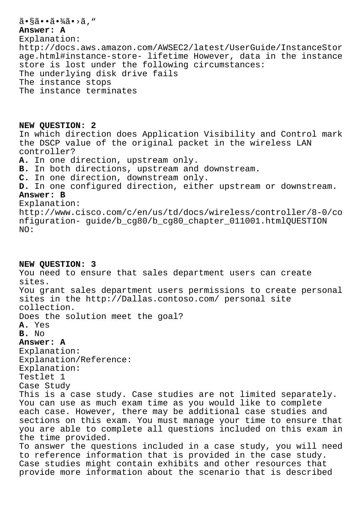## 㕧㕕㕾ã•>ã, " **Answer: A** Explanation: http://docs.aws.amazon.com/AWSEC2/latest/UserGuide/InstanceStor age.html#instance-store- lifetime However, data in the instance store is lost under the following circumstances: The underlying disk drive fails The instance stops The instance terminates

**NEW QUESTION: 2** In which direction does Application Visibility and Control mark the DSCP value of the original packet in the wireless LAN controller? **A.** In one direction, upstream only. **B.** In both directions, upstream and downstream. **C.** In one direction, downstream only. **D.** In one configured direction, either upstream or downstream. **Answer: B** Explanation: http://www.cisco.com/c/en/us/td/docs/wireless/controller/8-0/co nfiguration- guide/b\_cg80/b\_cg80\_chapter\_011001.htmlQUESTION NO:

**NEW QUESTION: 3** You need to ensure that sales department users can create sites. You grant sales department users permissions to create personal sites in the http://Dallas.contoso.com/ personal site collection. Does the solution meet the goal? **A.** Yes **B.** No **Answer: A** Explanation: Explanation/Reference: Explanation: Testlet 1 Case Study This is a case study. Case studies are not limited separately. You can use as much exam time as you would like to complete each case. However, there may be additional case studies and sections on this exam. You must manage your time to ensure that you are able to complete all questions included on this exam in the time provided. To answer the questions included in a case study, you will need to reference information that is provided in the case study. Case studies might contain exhibits and other resources that provide more information about the scenario that is described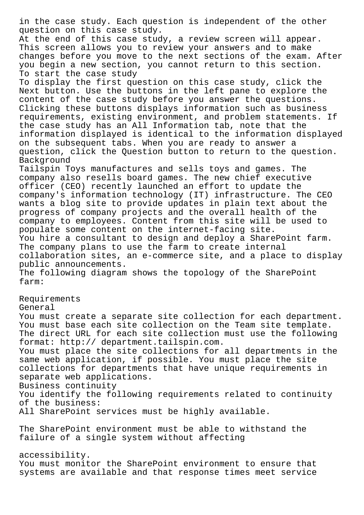in the case study. Each question is independent of the other question on this case study. At the end of this case study, a review screen will appear. This screen allows you to review your answers and to make changes before you move to the next sections of the exam. After you begin a new section, you cannot return to this section. To start the case study To display the first question on this case study, click the Next button. Use the buttons in the left pane to explore the content of the case study before you answer the questions. Clicking these buttons displays information such as business requirements, existing environment, and problem statements. If the case study has an All Information tab, note that the information displayed is identical to the information displayed on the subsequent tabs. When you are ready to answer a question, click the Question button to return to the question. Background Tailspin Toys manufactures and sells toys and games. The company also resells board games. The new chief executive officer (CEO) recently launched an effort to update the company's information technology (IT) infrastructure. The CEO wants a blog site to provide updates in plain text about the progress of company projects and the overall health of the company to employees. Content from this site will be used to populate some content on the internet-facing site. You hire a consultant to design and deploy a SharePoint farm. The company plans to use the farm to create internal collaboration sites, an e-commerce site, and a place to display public announcements. The following diagram shows the topology of the SharePoint farm: Requirements General You must create a separate site collection for each department. You must base each site collection on the Team site template. The direct URL for each site collection must use the following format: http:// department.tailspin.com. You must place the site collections for all departments in the same web application, if possible. You must place the site collections for departments that have unique requirements in separate web applications. Business continuity You identify the following requirements related to continuity of the business: All SharePoint services must be highly available. The SharePoint environment must be able to withstand the failure of a single system without affecting accessibility. You must monitor the SharePoint environment to ensure that systems are available and that response times meet service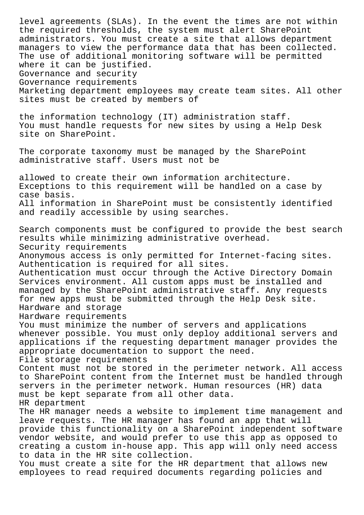level agreements (SLAs). In the event the times are not within the required thresholds, the system must alert SharePoint administrators. You must create a site that allows department managers to view the performance data that has been collected. The use of additional monitoring software will be permitted where it can be justified. Governance and security Governance requirements Marketing department employees may create team sites. All other sites must be created by members of the information technology (IT) administration staff. You must handle requests for new sites by using a Help Desk site on SharePoint. The corporate taxonomy must be managed by the SharePoint administrative staff. Users must not be allowed to create their own information architecture. Exceptions to this requirement will be handled on a case by case basis. All information in SharePoint must be consistently identified and readily accessible by using searches. Search components must be configured to provide the best search results while minimizing administrative overhead. Security requirements Anonymous access is only permitted for Internet-facing sites. Authentication is required for all sites. Authentication must occur through the Active Directory Domain Services environment. All custom apps must be installed and managed by the SharePoint administrative staff. Any requests for new apps must be submitted through the Help Desk site. Hardware and storage Hardware requirements You must minimize the number of servers and applications whenever possible. You must only deploy additional servers and applications if the requesting department manager provides the appropriate documentation to support the need. File storage requirements Content must not be stored in the perimeter network. All access to SharePoint content from the Internet must be handled through servers in the perimeter network. Human resources (HR) data must be kept separate from all other data. HR department The HR manager needs a website to implement time management and leave requests. The HR manager has found an app that will provide this functionality on a SharePoint independent software vendor website, and would prefer to use this app as opposed to creating a custom in-house app. This app will only need access to data in the HR site collection. You must create a site for the HR department that allows new employees to read required documents regarding policies and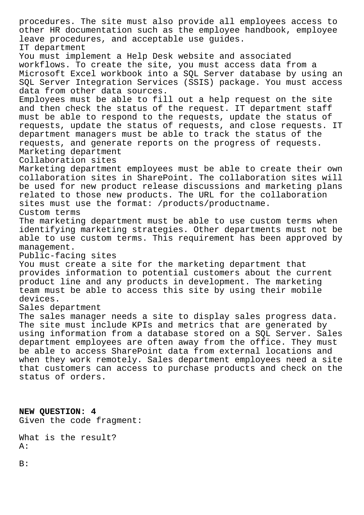procedures. The site must also provide all employees access to other HR documentation such as the employee handbook, employee leave procedures, and acceptable use guides. IT department You must implement a Help Desk website and associated workflows. To create the site, you must access data from a Microsoft Excel workbook into a SQL Server database by using an SQL Server Integration Services (SSIS) package. You must access data from other data sources. Employees must be able to fill out a help request on the site and then check the status of the request. IT department staff must be able to respond to the requests, update the status of requests, update the status of requests, and close requests. IT department managers must be able to track the status of the requests, and generate reports on the progress of requests. Marketing department Collaboration sites Marketing department employees must be able to create their own collaboration sites in SharePoint. The collaboration sites will be used for new product release discussions and marketing plans related to those new products. The URL for the collaboration sites must use the format: /products/productname. Custom terms The marketing department must be able to use custom terms when identifying marketing strategies. Other departments must not be able to use custom terms. This requirement has been approved by management. Public-facing sites You must create a site for the marketing department that provides information to potential customers about the current product line and any products in development. The marketing team must be able to access this site by using their mobile devices. Sales department The sales manager needs a site to display sales progress data. The site must include KPIs and metrics that are generated by using information from a database stored on a SQL Server. Sales department employees are often away from the office. They must be able to access SharePoint data from external locations and when they work remotely. Sales department employees need a site that customers can access to purchase products and check on the status of orders.

**NEW QUESTION: 4** Given the code fragment:

What is the result? A:

B: